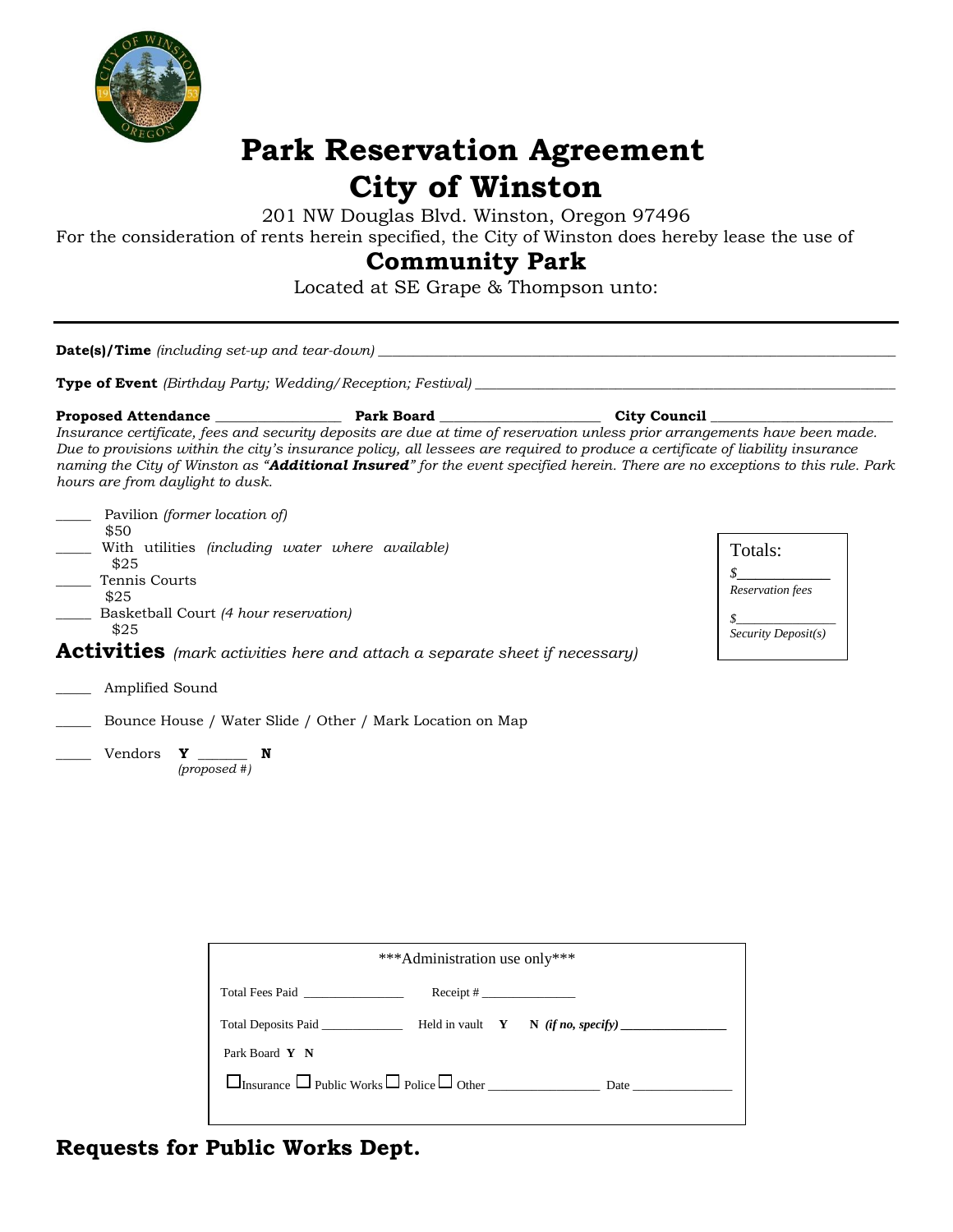

# **Park Reservation Agreement City of Winston**

201 NW Douglas Blvd. Winston, Oregon 97496

For the consideration of rents herein specified, the City of Winston does hereby lease the use of

## **Community Park**

Located at SE Grape & Thompson unto:

| hours are from daylight to dusk.                                                                  |                                                                                                                                                                                                                                                               |                                                                                     | City Council<br>Insurance certificate, fees and security deposits are due at time of reservation unless prior arrangements have been made.<br>Due to provisions within the city's insurance policy, all lessees are required to produce a certificate of liability insurance<br>naming the City of Winston as "Additional Insured" for the event specified herein. There are no exceptions to this rule. Park |                                                         |  |
|---------------------------------------------------------------------------------------------------|---------------------------------------------------------------------------------------------------------------------------------------------------------------------------------------------------------------------------------------------------------------|-------------------------------------------------------------------------------------|---------------------------------------------------------------------------------------------------------------------------------------------------------------------------------------------------------------------------------------------------------------------------------------------------------------------------------------------------------------------------------------------------------------|---------------------------------------------------------|--|
| Pavilion (former location of)<br>\$50<br>\$25<br>Tennis Courts<br>\$25<br>\$25<br>Amplified Sound | With utilities (including water where available)<br>Basketball Court (4 hour reservation)<br><b>Activities</b> (mark activities here and attach a separate sheet if necessary)<br>Bounce House / Water Slide / Other / Mark Location on Map<br>$(proposed #)$ |                                                                                     |                                                                                                                                                                                                                                                                                                                                                                                                               | Totals:<br>Reservation fees<br>$Security \, Deposit(s)$ |  |
|                                                                                                   | Total Fees Paid                                                                                                                                                                                                                                               | *** Administration use only***<br>$\text{Receipt}$ # $\_\_\_\_\_\_\_\_\_\_\_\_\_\_$ |                                                                                                                                                                                                                                                                                                                                                                                                               |                                                         |  |

Insurance Public Works Police Other \_\_\_\_\_\_\_\_\_\_\_\_\_\_\_\_\_\_ Date \_\_\_\_\_\_\_\_\_\_\_\_\_\_\_\_

Total Deposits Paid \_\_\_\_\_\_\_\_\_\_\_\_\_ Held in vault **Y N** *(if no, specify) \_\_\_\_\_\_\_\_\_\_\_\_\_\_\_\_\_*

**Requests for Public Works Dept.**

Park Board **Y N**